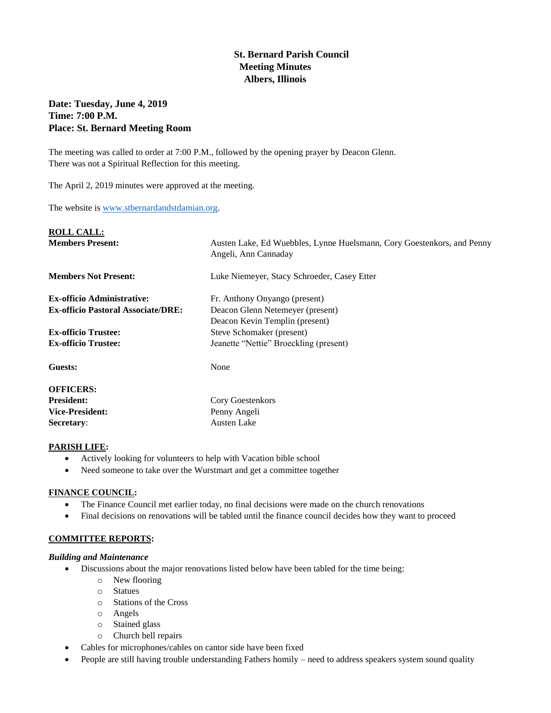# **St. Bernard Parish Council Meeting Minutes Albers, Illinois**

# **Date: Tuesday, June 4, 2019 Time: 7:00 P.M. Place: St. Bernard Meeting Room**

The meeting was called to order at 7:00 P.M., followed by the opening prayer by Deacon Glenn. There was not a Spiritual Reflection for this meeting.

The April 2, 2019 minutes were approved at the meeting.

The website is [www.stbernardandstdamian.org.](http://www.stbernardandstdamian.org/)

| <b>ROLL CALL:</b>                         |                                                                                                |
|-------------------------------------------|------------------------------------------------------------------------------------------------|
| <b>Members Present:</b>                   | Austen Lake, Ed Wuebbles, Lynne Huelsmann, Cory Goestenkors, and Penny<br>Angeli, Ann Cannaday |
| <b>Members Not Present:</b>               | Luke Niemeyer, Stacy Schroeder, Casey Etter                                                    |
| <b>Ex-officio Administrative:</b>         | Fr. Anthony Onyango (present)                                                                  |
| <b>Ex-officio Pastoral Associate/DRE:</b> | Deacon Glenn Netemeyer (present)                                                               |
|                                           | Deacon Kevin Templin (present)                                                                 |
| <b>Ex-officio Trustee:</b>                | Steve Schomaker (present)                                                                      |
| <b>Ex-officio Trustee:</b>                | Jeanette "Nettie" Broeckling (present)                                                         |
| Guests:                                   | None                                                                                           |
| <b>OFFICERS:</b>                          |                                                                                                |
| <b>President:</b>                         | Cory Goestenkors                                                                               |
| <b>Vice-President:</b>                    | Penny Angeli                                                                                   |
| <b>Secretary:</b>                         | <b>Austen Lake</b>                                                                             |

#### **PARISH LIFE:**

- Actively looking for volunteers to help with Vacation bible school
- Need someone to take over the Wurstmart and get a committee together

# **FINANCE COUNCIL:**

- The Finance Council met earlier today, no final decisions were made on the church renovations
- Final decisions on renovations will be tabled until the finance council decides how they want to proceed

# **COMMITTEE REPORTS:**

#### *Building and Maintenance*

- Discussions about the major renovations listed below have been tabled for the time being:
	- o New flooring
	- o Statues
	- o Stations of the Cross
	- o Angels
	- o Stained glass
	- o Church bell repairs
- Cables for microphones/cables on cantor side have been fixed
- People are still having trouble understanding Fathers homily need to address speakers system sound quality